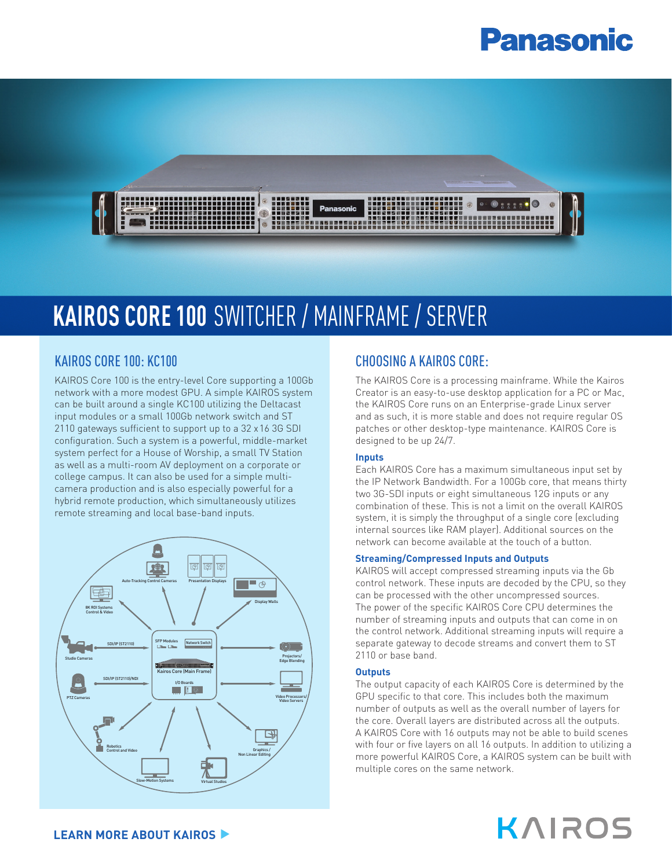# **Panasonic**



# **KAIROS CORE 100** SWITCHER / MAINFRAME / SERVER

## KAIROS CORE 100: KC100

KAIROS Core 100 is the entry-level Core supporting a 100Gb network with a more modest GPU. A simple KAIROS system can be built around a single KC100 utilizing the Deltacast input modules or a small 100Gb network switch and ST 2110 gateways sufficient to support up to a 32 x16 3G SDI configuration. Such a system is a powerful, middle-market system perfect for a House of Worship, a small TV Station as well as a multi-room AV deployment on a corporate or college campus. It can also be used for a simple multicamera production and is also especially powerful for a hybrid remote production, which simultaneously utilizes remote streaming and local base-band inputs.



# CHOOSING A KAIROS CORE:

The KAIROS Core is a processing mainframe. While the Kairos Creator is an easy-to-use desktop application for a PC or Mac, the KAIROS Core runs on an Enterprise-grade Linux server and as such, it is more stable and does not require regular OS patches or other desktop-type maintenance. KAIROS Core is designed to be up 24/7.

## **Inputs**

Each KAIROS Core has a maximum simultaneous input set by the IP Network Bandwidth. For a 100Gb core, that means thirty two 3G-SDI inputs or eight simultaneous 12G inputs or any combination of these. This is not a limit on the overall KAIROS system, it is simply the throughput of a single core (excluding internal sources like RAM player). Additional sources on the network can become available at the touch of a button.

### **Streaming/Compressed Inputs and Outputs**

KAIROS will accept compressed streaming inputs via the Gb control network. These inputs are decoded by the CPU, so they can be processed with the other uncompressed sources. The power of the specific KAIROS Core CPU determines the number of streaming inputs and outputs that can come in on the control network. Additional streaming inputs will require a separate gateway to decode streams and convert them to ST 2110 or base band.

### **Outputs**

The output capacity of each KAIROS Core is determined by the GPU specific to that core. This includes both the maximum number of outputs as well as the overall number of layers for the core. Overall layers are distributed across all the outputs. A KAIROS Core with 16 outputs may not be able to build scenes with four or five layers on all 16 outputs. In addition to utilizing a more powerful KAIROS Core, a KAIROS system can be built with multiple cores on the same network.